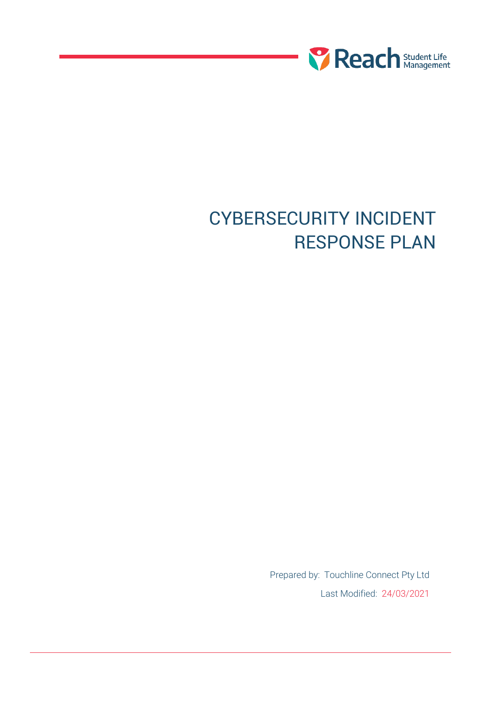

# CYBERSECURITY INCIDENT RESPONSE PLAN

Prepared by: Touchline Connect Pty Ltd Last Modified: 24/03/2021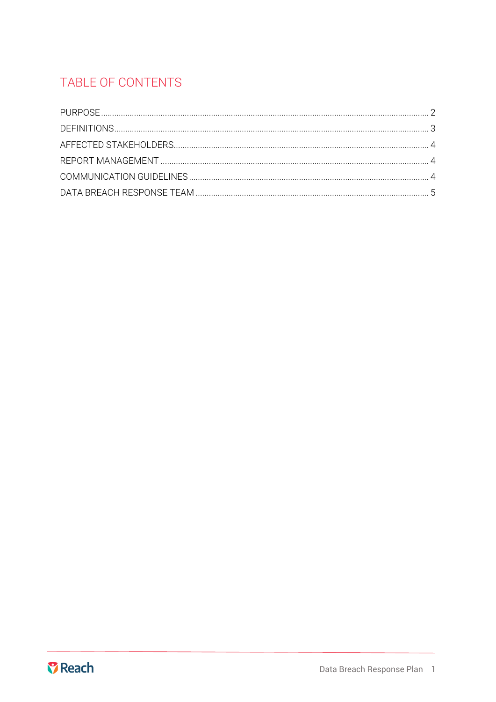## TABLE OF CONTENTS

<span id="page-1-0"></span>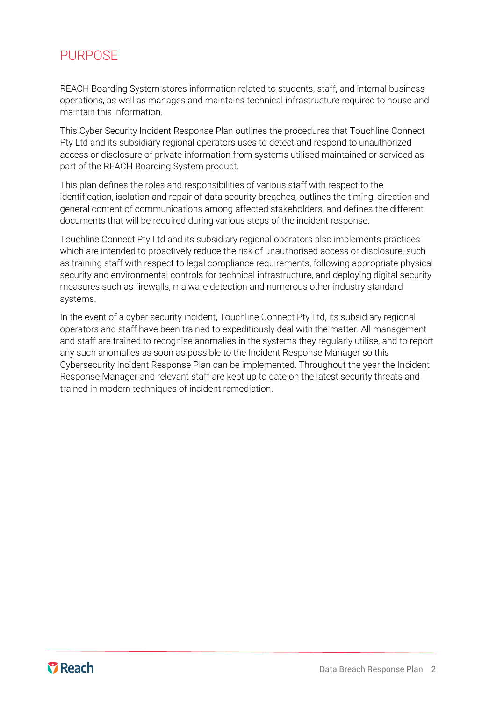## **PURPOSE**

REACH Boarding System stores information related to students, staff, and internal business operations, as well as manages and maintains technical infrastructure required to house and maintain this information.

This Cyber Security Incident Response Plan outlines the procedures that Touchline Connect Pty Ltd and its subsidiary regional operators uses to detect and respond to unauthorized access or disclosure of private information from systems utilised maintained or serviced as part of the REACH Boarding System product.

This plan defines the roles and responsibilities of various staff with respect to the identification, isolation and repair of data security breaches, outlines the timing, direction and general content of communications among affected stakeholders, and defines the different documents that will be required during various steps of the incident response.

Touchline Connect Pty Ltd and its subsidiary regional operators also implements practices which are intended to proactively reduce the risk of unauthorised access or disclosure, such as training staff with respect to legal compliance requirements, following appropriate physical security and environmental controls for technical infrastructure, and deploying digital security measures such as firewalls, malware detection and numerous other industry standard systems.

<span id="page-2-0"></span>In the event of a cyber security incident, Touchline Connect Pty Ltd, its subsidiary regional operators and staff have been trained to expeditiously deal with the matter. All management and staff are trained to recognise anomalies in the systems they regularly utilise, and to report any such anomalies as soon as possible to the Incident Response Manager so this Cybersecurity Incident Response Plan can be implemented. Throughout the year the Incident Response Manager and relevant staff are kept up to date on the latest security threats and trained in modern techniques of incident remediation.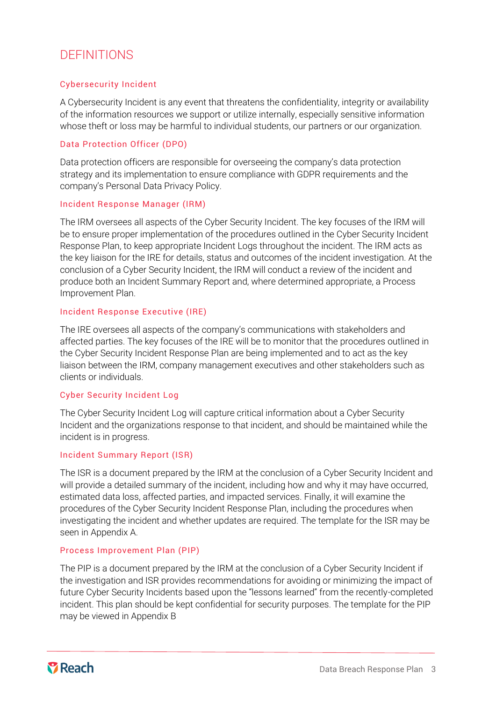## DEFINITIONS

#### Cybersecurity Incident

A Cybersecurity Incident is any event that threatens the confidentiality, integrity or availability of the information resources we support or utilize internally, especially sensitive information whose theft or loss may be harmful to individual students, our partners or our organization.

#### Data Protection Officer (DPO)

Data protection officers are responsible for overseeing the company's data protection strategy and its implementation to ensure compliance with GDPR requirements and the company's Personal Data Privacy Policy.

#### Incident Response Manager (IRM)

The IRM oversees all aspects of the Cyber Security Incident. The key focuses of the IRM will be to ensure proper implementation of the procedures outlined in the Cyber Security Incident Response Plan, to keep appropriate Incident Logs throughout the incident. The IRM acts as the key liaison for the IRE for details, status and outcomes of the incident investigation. At the conclusion of a Cyber Security Incident, the IRM will conduct a review of the incident and produce both an Incident Summary Report and, where determined appropriate, a Process Improvement Plan.

#### Incident Response Executive (IRE)

The IRE oversees all aspects of the company's communications with stakeholders and affected parties. The key focuses of the IRE will be to monitor that the procedures outlined in the Cyber Security Incident Response Plan are being implemented and to act as the key liaison between the IRM, company management executives and other stakeholders such as clients or individuals.

#### Cyber Security Incident Log

The Cyber Security Incident Log will capture critical information about a Cyber Security Incident and the organizations response to that incident, and should be maintained while the incident is in progress.

#### Incident Summary Report (ISR)

The ISR is a document prepared by the IRM at the conclusion of a Cyber Security Incident and will provide a detailed summary of the incident, including how and why it may have occurred, estimated data loss, affected parties, and impacted services. Finally, it will examine the procedures of the Cyber Security Incident Response Plan, including the procedures when investigating the incident and whether updates are required. The template for the ISR may be seen in Appendix A.

#### Process Improvement Plan (PIP)

The PIP is a document prepared by the IRM at the conclusion of a Cyber Security Incident if the investigation and ISR provides recommendations for avoiding or minimizing the impact of future Cyber Security Incidents based upon the "lessons learned" from the recently-completed incident. This plan should be kept confidential for security purposes. The template for the PIP may be viewed in Appendix B

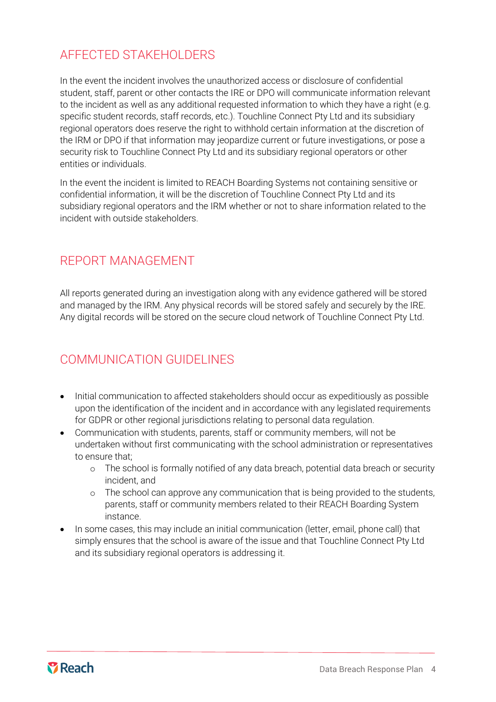## <span id="page-4-0"></span>AFFECTED STAKEHOLDERS

In the event the incident involves the unauthorized access or disclosure of confidential student, staff, parent or other contacts the IRE or DPO will communicate information relevant to the incident as well as any additional requested information to which they have a right (e.g. specific student records, staff records, etc.). Touchline Connect Pty Ltd and its subsidiary regional operators does reserve the right to withhold certain information at the discretion of the IRM or DPO if that information may jeopardize current or future investigations, or pose a security risk to Touchline Connect Pty Ltd and its subsidiary regional operators or other entities or individuals.

In the event the incident is limited to REACH Boarding Systems not containing sensitive or confidential information, it will be the discretion of Touchline Connect Pty Ltd and its subsidiary regional operators and the IRM whether or not to share information related to the incident with outside stakeholders.

### <span id="page-4-1"></span>REPORT MANAGEMENT

All reports generated during an investigation along with any evidence gathered will be stored and managed by the IRM. Any physical records will be stored safely and securely by the IRE. Any digital records will be stored on the secure cloud network of Touchline Connect Pty Ltd.

## <span id="page-4-2"></span>COMMUNICATION GUIDELINES

- Initial communication to affected stakeholders should occur as expeditiously as possible upon the identification of the incident and in accordance with any legislated requirements for GDPR or other regional jurisdictions relating to personal data regulation.
- Communication with students, parents, staff or community members, will not be undertaken without first communicating with the school administration or representatives to ensure that;
	- o The school is formally notified of any data breach, potential data breach or security incident, and
	- o The school can approve any communication that is being provided to the students, parents, staff or community members related to their REACH Boarding System instance.
- In some cases, this may include an initial communication (letter, email, phone call) that simply ensures that the school is aware of the issue and that Touchline Connect Pty Ltd and its subsidiary regional operators is addressing it.